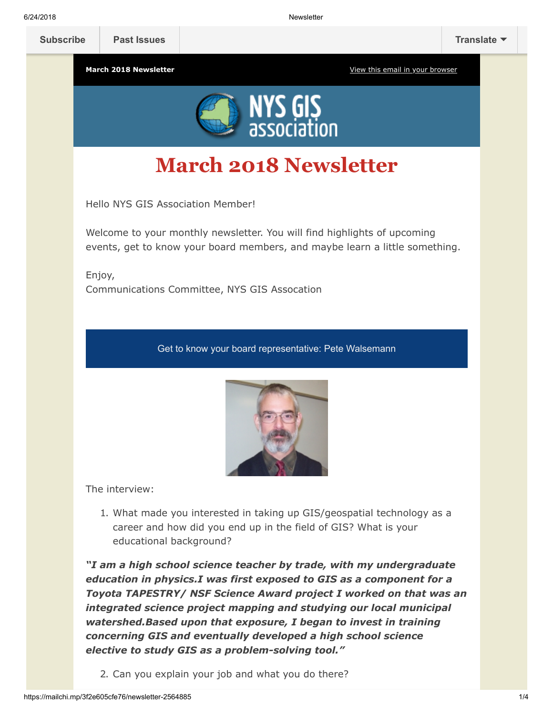

# **March 2018 Newsletter**

Hello NYS GIS Association Member!

Welcome to your monthly newsletter. You will find highlights of upcoming events, get to know your board members, and maybe learn a little something.

Enjoy, Communications Committee, NYS GIS Assocation

Get to know your board representative: Pete Walsemann



The interview:

1. What made you interested in taking up GIS/geospatial technology as a career and how did you end up in the field of GIS? What is your educational background?

*"I am a high school science teacher by trade, with my undergraduate education in physics.I was first exposed to GIS as a component for a Toyota TAPESTRY/ NSF Science Award project I worked on that was an integrated science project mapping and studying our local municipal watershed.Based upon that exposure, I began to invest in training concerning GIS and eventually developed a high school science elective to study GIS as a problem-solving tool."*

2. Can you explain your job and what you do there?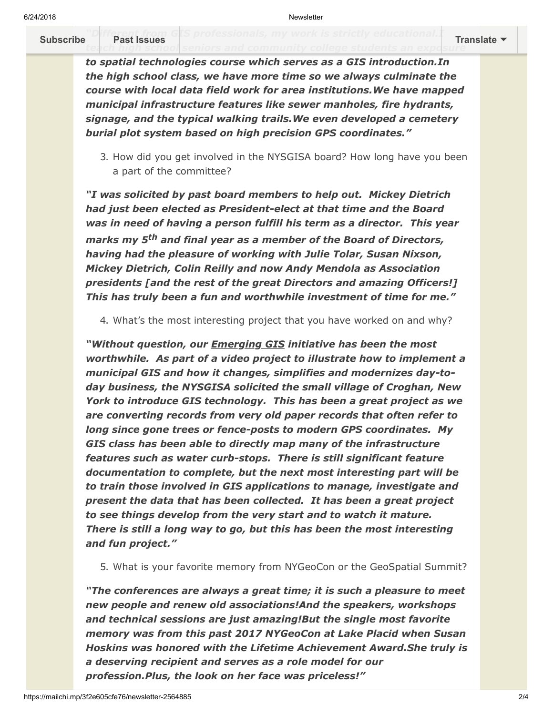**Subscribe "D[ifferent from GI](https://us9.campaign-archive.com/home/?u=79136ebe8b18b11ee073cc61c&id=787fea6e72)S** professionals, my work is strictly **[Subscribe](http://eepurl.com/c1OotD) Past Issues [Translate](javascript:;)**

> *to spatial technologies course which serves as a GIS introduction.In the high school class, we have more time so we always culminate the course with local data field work for area institutions.We have mapped municipal infrastructure features like sewer manholes, fire hydrants, signage, and the typical walking trails.We even developed a cemetery burial plot system based on high precision GPS coordinates."*

3. How did you get involved in the NYSGISA board? How long have you been a part of the committee?

*"I was solicited by past board members to help out. Mickey Dietrich had just been elected as President-elect at that time and the Board was in need of having a person fulfill his term as a director. This year marks my 5th and final year as a member of the Board of Directors, having had the pleasure of working with Julie Tolar, Susan Nixson, Mickey Dietrich, Colin Reilly and now Andy Mendola as Association presidents [and the rest of the great Directors and amazing Officers!] This has truly been a fun and worthwhile investment of time for me."*

4. What's the most interesting project that you have worked on and why?

*"Without question, our Emerging GIS initiative has been the most worthwhile. As part of a video project to illustrate how to implement a municipal GIS and how it changes, simplifies and modernizes day-today business, the NYSGISA solicited the small village of Croghan, New York to introduce GIS technology. This has been a great project as we are converting records from very old paper records that often refer to long since gone trees or fence-posts to modern GPS coordinates. My GIS class has been able to directly map many of the infrastructure features such as water curb-stops. There is still significant feature documentation to complete, but the next most interesting part will be to train those involved in GIS applications to manage, investigate and present the data that has been collected. It has been a great project to see things develop from the very start and to watch it mature. There is still a long way to go, but this has been the most interesting and fun project."*

5. What is your favorite memory from NYGeoCon or the GeoSpatial Summit?

*"The conferences are always a great time; it is such a pleasure to meet new people and renew old associations!And the speakers, workshops and technical sessions are just amazing!But the single most favorite memory was from this past 2017 NYGeoCon at Lake Placid when Susan Hoskins was honored with the Lifetime Achievement Award.She truly is a deserving recipient and serves as a role model for our profession.Plus, the look on her face was priceless!"*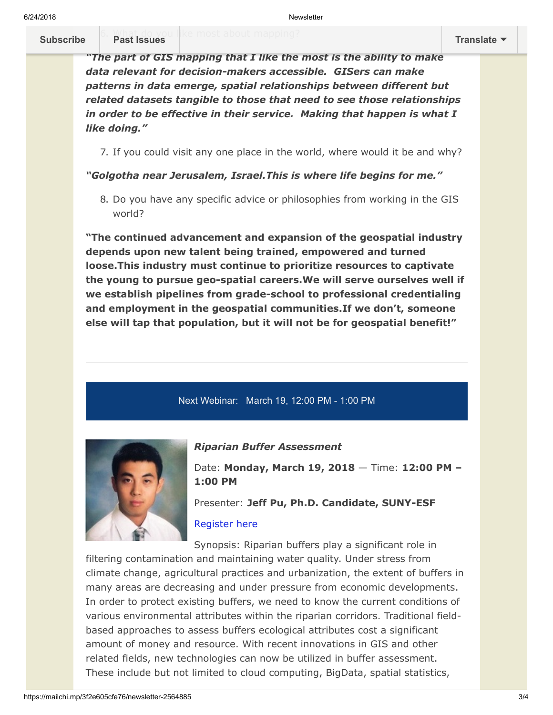# **[Subscribe](http://eepurl.com/c1OotD) Past Issues [Translate](javascript:;)**

*"The part of GIS mapping that I like the most is the ability to make data relevant for decision-makers accessible. GISers can make patterns in data emerge, spatial relationships between different but related datasets tangible to those that need to see those relationships in order to be effective in their service. Making that happen is what I like doing."*

7. If you could visit any one place in the world, where would it be and why?

# *"Golgotha near Jerusalem, Israel.This is where life begins for me."*

8. Do you have any specific advice or philosophies from working in the GIS world?

**"The continued advancement and expansion of the geospatial industry depends upon new talent being trained, empowered and turned loose.This industry must continue to prioritize resources to captivate the young to pursue geo-spatial careers.We will serve ourselves well if we establish pipelines from grade-school to professional credentialing and employment in the geospatial communities.If we don't, someone else will tap that population, but it will not be for geospatial benefit!"**

# Next Webinar: March 19, 12:00 PM - 1:00 PM



**Past Issues** 

## *Riparian Buffer Assessment*

Date: **Monday, March 19, 2018** — Time: **12:00 PM – 1:00 PM**

Presenter: **Jeff Pu, Ph.D. Candidate, SUNY-ESF**

## [Register here](https://nysgisa.clickmeeting.com/riparian-buffer-assessment/register?_ga=2.69478809.880366735.1519488536-1111399781.1512736708)

Synopsis: Riparian buffers play a significant role in filtering contamination and maintaining water quality. Under stress from climate change, agricultural practices and urbanization, the extent of buffers in many areas are decreasing and under pressure from economic developments. In order to protect existing buffers, we need to know the current conditions of various environmental attributes within the riparian corridors. Traditional fieldbased approaches to assess buffers ecological attributes cost a significant amount of money and resource. With recent innovations in GIS and other related fields, new technologies can now be utilized in buffer assessment. These include but not limited to cloud computing, BigData, spatial statistics,